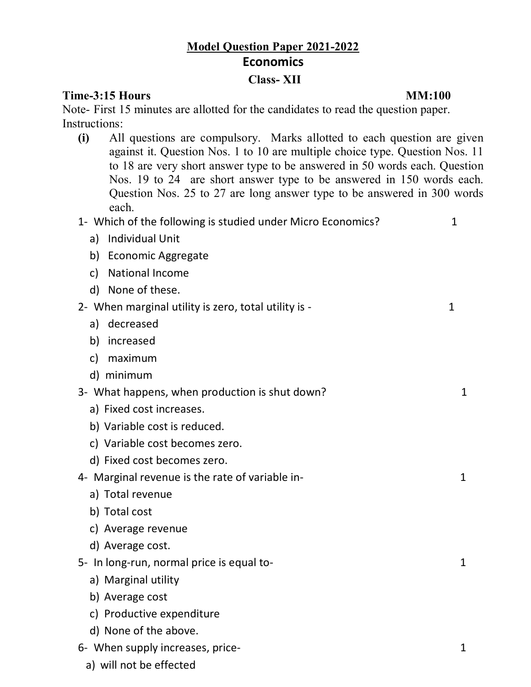# **Model Question Paper 2021-2022 Economics**

### **Class- XII**

### **Time-3:15 Hours MM:100**

Note- First 15 minutes are allotted for the candidates to read the question paper. Instructions:

**(i)** All questions are compulsory. Marks allotted to each question are given against it. Question Nos. 1 to 10 are multiple choice type. Question Nos. 11 to 18 are very short answer type to be answered in 50 words each. Question Nos. 19 to 24 are short answer type to be answered in 150 words each. Question Nos. 25 to 27 are long answer type to be answered in 300 words each.

| 1- Which of the following is studied under Micro Economics? | 1            |
|-------------------------------------------------------------|--------------|
| <b>Individual Unit</b><br>a)                                |              |
| <b>Economic Aggregate</b><br>b)                             |              |
| <b>National Income</b><br>c)                                |              |
| None of these.<br>d)                                        |              |
| 2- When marginal utility is zero, total utility is -        | $\mathbf{1}$ |
| a) decreased                                                |              |
| increased<br>b)                                             |              |
| maximum<br>$\mathsf{C}$                                     |              |
| d) minimum                                                  |              |
| 3- What happens, when production is shut down?              | 1            |
| a) Fixed cost increases.                                    |              |
| b) Variable cost is reduced.                                |              |
| c) Variable cost becomes zero.                              |              |
| d) Fixed cost becomes zero.                                 |              |
| 4- Marginal revenue is the rate of variable in-             | 1            |
| a) Total revenue                                            |              |
| b) Total cost                                               |              |
| c) Average revenue                                          |              |
| d) Average cost.                                            |              |
| 5- In long-run, normal price is equal to-                   | 1            |
| a) Marginal utility                                         |              |
| b) Average cost                                             |              |
| c) Productive expenditure                                   |              |
| d) None of the above.                                       |              |
| 6- When supply increases, price-                            | 1            |

a) will not be effected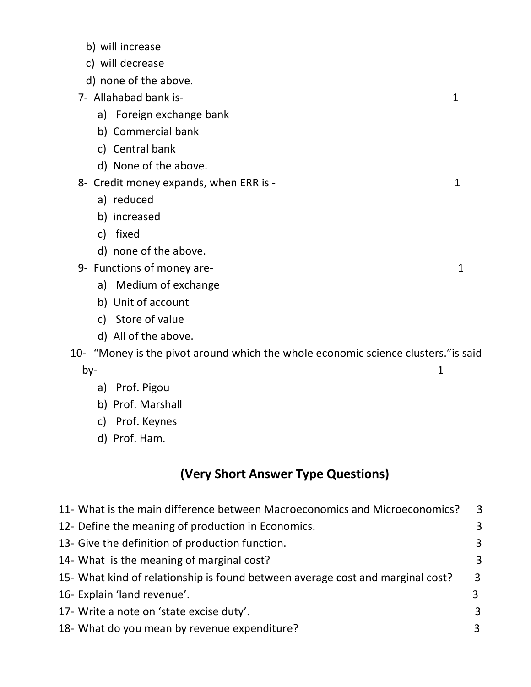|  | b) will increase |
|--|------------------|
|--|------------------|

- c) will decrease
- d) none of the above.
- 7- Allahabad bank is- 1
	- a) Foreign exchange bank
	- b) Commercial bank
	- c) Central bank
	- d) None of the above.
- 8- Credit money expands, when ERR is 1
	- a) reduced
	- b) increased
	- c) fixed
	- d) none of the above.
- 9- Functions of money are- 1
	- a) Medium of exchange
	- b) Unit of account
	- c) Store of value
	- d) All of the above.

## 10- "Money is the pivot around which the whole economic science clusters."is said  $\mathsf{by}\text{-}$  1

- a) Prof. Pigou
- b) Prof. Marshall
- c) Prof. Keynes
- d) Prof. Ham.

## **(Very Short Answer Type Questions)**

| 11- What is the main difference between Macroeconomics and Microeconomics?     | $\overline{3}$ |
|--------------------------------------------------------------------------------|----------------|
| 12- Define the meaning of production in Economics.                             | $\overline{3}$ |
| 13- Give the definition of production function.                                | $\overline{3}$ |
| 14- What is the meaning of marginal cost?                                      | $\overline{3}$ |
| 15- What kind of relationship is found between average cost and marginal cost? | 3              |
| 16- Explain 'land revenue'.                                                    | 3              |
| 17- Write a note on 'state excise duty'.                                       | 3              |
| 18- What do you mean by revenue expenditure?                                   | 3              |
|                                                                                |                |